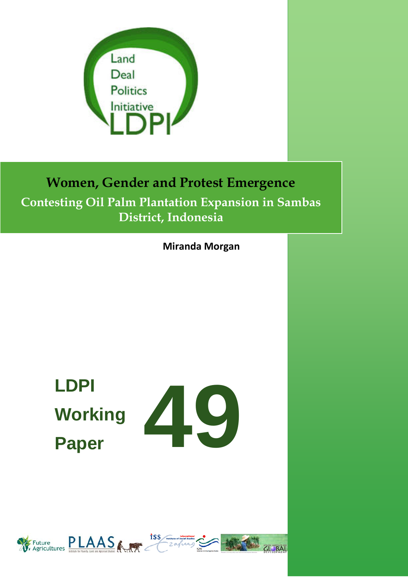

## **Women, Gender and Protest Emergence Contesting Oil Palm Plantation Expansion in Sambas District, Indonesia**

**Miranda Morgan**

# **LDPI Working Paper**



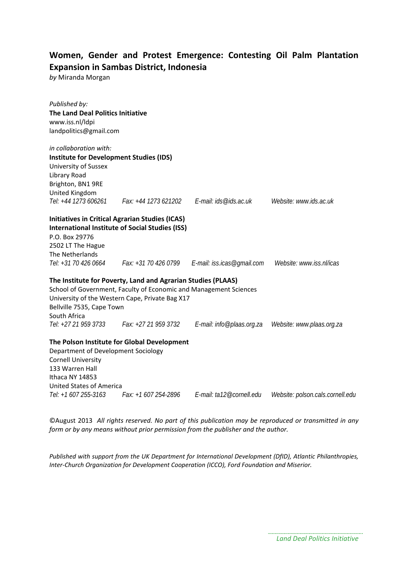#### **Women, Gender and Protest Emergence: Contesting Oil Palm Plantation Expansion in Sambas District, Indonesia**

*by* Miranda Morgan

| Published by:<br><b>The Land Deal Politics Initiative</b><br>www.iss.nl/ldpi<br>landpolitics@gmail.com                                                                                                                                                    |                                               |                           |                                  |
|-----------------------------------------------------------------------------------------------------------------------------------------------------------------------------------------------------------------------------------------------------------|-----------------------------------------------|---------------------------|----------------------------------|
| in collaboration with:<br><b>Institute for Development Studies (IDS)</b><br>University of Sussex<br>Library Road<br>Brighton, BN1 9RE<br>United Kingdom<br>Tel: +44 1273 606261                                                                           | Fax: +44 1273 621202    E-mail: ids@ids.ac.uk |                           | Website: www.ids.ac.uk           |
| <b>Initiatives in Critical Agrarian Studies (ICAS)</b><br><b>International Institute of Social Studies (ISS)</b><br>P.O. Box 29776<br>2502 LT The Hague<br>The Netherlands<br>Tel: +31 70 426 0664                                                        |                                               |                           | Website: www.iss.nl/icas         |
| The Institute for Poverty, Land and Agrarian Studies (PLAAS)<br>School of Government, Faculty of Economic and Management Sciences<br>University of the Western Cape, Private Bag X17<br>Bellville 7535, Cape Town<br>South Africa<br>Tel: +27 21 959 3733 | Fax: +27 21 959 3732                          | E-mail: info@plaas.org.za | Website: www.plaas.org.za        |
| The Polson Institute for Global Development<br>Department of Development Sociology<br><b>Cornell University</b><br>133 Warren Hall<br>Ithaca NY 14853<br><b>United States of America</b><br>Tel: +1 607 255-3163                                          |                                               |                           | Website: polson.cals.cornell.edu |

©August 2013 *All rights reserved. No part of this publication may be reproduced or transmitted in any form or by any means without prior permission from the publisher and the author.*

*Published with support from the UK Department for International Development (DfID), Atlantic Philanthropies, Inter-Church Organization for Development Cooperation (ICCO), Ford Foundation and Miserior.*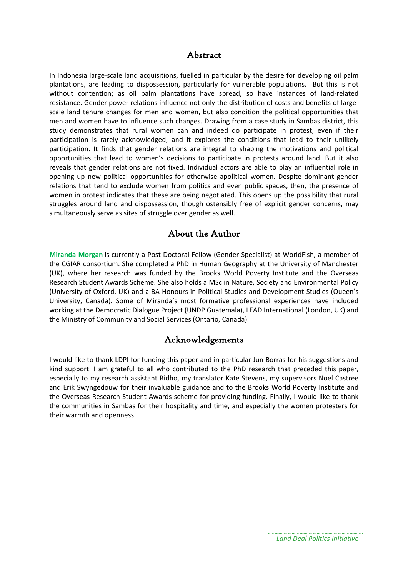#### Abstract

In Indonesia large-scale land acquisitions, fuelled in particular by the desire for developing oil palm plantations, are leading to dispossession, particularly for vulnerable populations. But this is not without contention; as oil palm plantations have spread, so have instances of land-related resistance. Gender power relations influence not only the distribution of costs and benefits of largescale land tenure changes for men and women, but also condition the political opportunities that men and women have to influence such changes. Drawing from a case study in Sambas district, this study demonstrates that rural women can and indeed do participate in protest, even if their participation is rarely acknowledged, and it explores the conditions that lead to their unlikely participation. It finds that gender relations are integral to shaping the motivations and political opportunities that lead to women's decisions to participate in protests around land. But it also reveals that gender relations are not fixed. Individual actors are able to play an influential role in opening up new political opportunities for otherwise apolitical women. Despite dominant gender relations that tend to exclude women from politics and even public spaces, then, the presence of women in protest indicates that these are being negotiated. This opens up the possibility that rural struggles around land and dispossession, though ostensibly free of explicit gender concerns, may simultaneously serve as sites of struggle over gender as well.

#### About the Author

**Miranda Morgan** is currently a Post-Doctoral Fellow (Gender Specialist) at WorldFish, a member of the CGIAR consortium. She completed a PhD in Human Geography at the University of Manchester (UK), where her research was funded by the Brooks World Poverty Institute and the Overseas Research Student Awards Scheme. She also holds a MSc in Nature, Society and Environmental Policy (University of Oxford, UK) and a BA Honours in Political Studies and Development Studies (Queen's University, Canada). Some of Miranda's most formative professional experiences have included working at the Democratic Dialogue Project (UNDP Guatemala), LEAD International (London, UK) and the Ministry of Community and Social Services (Ontario, Canada).

#### Acknowledgements

I would like to thank LDPI for funding this paper and in particular Jun Borras for his suggestions and kind support. I am grateful to all who contributed to the PhD research that preceded this paper, especially to my research assistant Ridho, my translator Kate Stevens, my supervisors Noel Castree and Erik Swyngedouw for their invaluable guidance and to the Brooks World Poverty Institute and the Overseas Research Student Awards scheme for providing funding. Finally, I would like to thank the communities in Sambas for their hospitality and time, and especially the women protesters for their warmth and openness.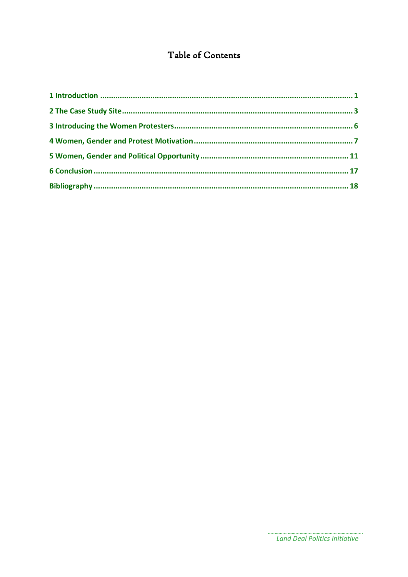## Table of Contents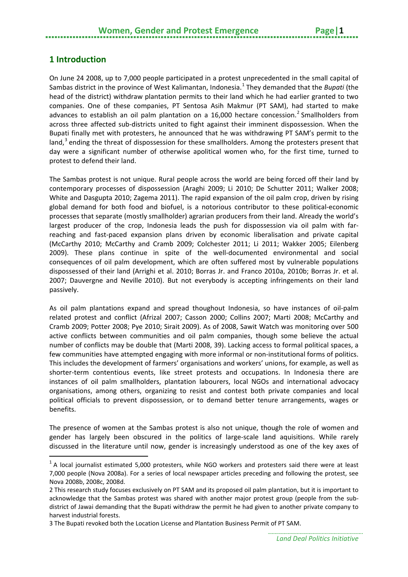### <span id="page-4-0"></span>**1 Introduction**

**.** 

On June 24 2008, up to 7,000 people participated in a protest unprecedented in the small capital of Sambas district in the province of West Kalimantan, Indonesia. [1](#page-4-1) They demanded that the *Bupati* (the head of the district) withdraw plantation permits to their land which he had earlier granted to two companies. One of these companies, PT Sentosa Asih Makmur (PT SAM), had started to make advances to establish an oil palm plantation on a 16,000 hectare concession.<sup>[2](#page-4-2)</sup> Smallholders from across three affected sub-districts united to fight against their imminent dispossession. When the Bupati finally met with protesters, he announced that he was withdrawing PT SAM's permit to the land,<sup>[3](#page-4-3)</sup> ending the threat of dispossession for these smallholders. Among the protesters present that day were a significant number of otherwise apolitical women who, for the first time, turned to protest to defend their land.

The Sambas protest is not unique. Rural people across the world are being forced off their land by contemporary processes of dispossession (Araghi 2009; Li 2010; De Schutter 2011; Walker 2008; White and Dasgupta 2010; Zagema 2011). The rapid expansion of the oil palm crop, driven by rising global demand for both food and biofuel, is a notorious contributor to these political-economic processes that separate (mostly smallholder) agrarian producers from their land. Already the world's largest producer of the crop, Indonesia leads the push for dispossession via oil palm with farreaching and fast-paced expansion plans driven by economic liberalisation and private capital (McCarthy 2010; McCarthy and Cramb 2009; Colchester 2011; Li 2011; Wakker 2005; Eilenberg 2009). These plans continue in spite of the well-documented environmental and social consequences of oil palm development, which are often suffered most by vulnerable populations dispossessed of their land (Arrighi et al. 2010; Borras Jr. and Franco 2010a, 2010b; Borras Jr. et al. 2007; Dauvergne and Neville 2010). But not everybody is accepting infringements on their land passively.

As oil palm plantations expand and spread thoughout Indonesia, so have instances of oil-palm related protest and conflict (Afrizal 2007; Casson 2000; Collins 2007; Marti 2008; McCarthy and Cramb 2009; Potter 2008; Pye 2010; Sirait 2009). As of 2008, Sawit Watch was monitoring over 500 active conflicts between communities and oil palm companies, though some believe the actual number of conflicts may be double that (Marti 2008, 39). Lacking access to formal political spaces, a few communities have attempted engaging with more informal or non-institutional forms of politics. This includes the development of farmers' organisations and workers' unions, for example, as well as shorter-term contentious events, like street protests and occupations. In Indonesia there are instances of oil palm smallholders, plantation labourers, local NGOs and international advocacy organisations, among others, organizing to resist and contest both private companies and local political officials to prevent dispossession, or to demand better tenure arrangements, wages or benefits.

The presence of women at the Sambas protest is also not unique, though the role of women and gender has largely been obscured in the politics of large-scale land aquisitions. While rarely discussed in the literature until now, gender is increasingly understood as one of the key axes of

<span id="page-4-1"></span> $1$  A local journalist estimated 5,000 protesters, while NGO workers and protesters said there were at least 7,000 people (Nova 2008a). For a series of local newspaper articles preceding and following the protest, see Nova 2008b, 2008c, 2008d.

<span id="page-4-2"></span><sup>2</sup> This research study focuses exclusively on PT SAM and its proposed oil palm plantation, but it is important to acknowledge that the Sambas protest was shared with another major protest group (people from the subdistrict of Jawai demanding that the Bupati withdraw the permit he had given to another private company to harvest industrial forests.

<span id="page-4-3"></span><sup>3</sup> The Bupati revoked both the Location License and Plantation Business Permit of PT SAM.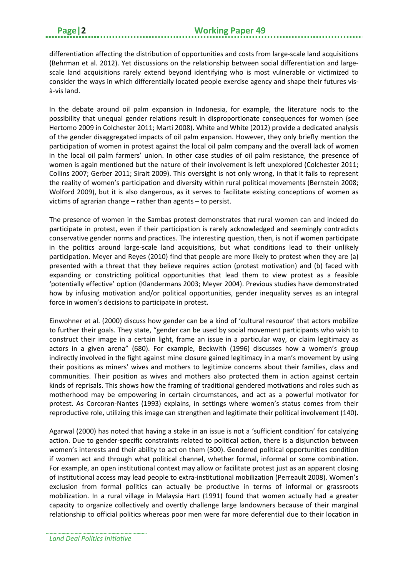differentiation affecting the distribution of opportunities and costs from large-scale land acquisitions (Behrman et al. 2012). Yet discussions on the relationship between social differentiation and largescale land acquisitions rarely extend beyond identifying who is most vulnerable or victimized to consider the ways in which differentially located people exercise agency and shape their futures visà-vis land.

In the debate around oil palm expansion in Indonesia, for example, the literature nods to the possibility that unequal gender relations result in disproportionate consequences for women (see Hertomo 2009 in Colchester 2011; Marti 2008). White and White (2012) provide a dedicated analysis of the gender disaggregated impacts of oil palm expansion. However, they only briefly mention the participation of women in protest against the local oil palm company and the overall lack of women in the local oil palm farmers' union. In other case studies of oil palm resistance, the presence of women is again mentioned but the nature of their involvement is left unexplored (Colchester 2011; Collins 2007; Gerber 2011; Sirait 2009). This oversight is not only wrong, in that it fails to represent the reality of women's participation and diversity within rural political movements (Bernstein 2008; Wolford 2009), but it is also dangerous, as it serves to facilitate existing conceptions of women as victims of agrarian change – rather than agents – to persist.

The presence of women in the Sambas protest demonstrates that rural women can and indeed do participate in protest, even if their participation is rarely acknowledged and seemingly contradicts conservative gender norms and practices. The interesting question, then, is not if women participate in the politics around large-scale land acquisitions, but what conditions lead to their unlikely participation. Meyer and Reyes (2010) find that people are more likely to protest when they are (a) presented with a threat that they believe requires action (protest motivation) and (b) faced with expanding or constricting political opportunities that lead them to view protest as a feasible 'potentially effective' option (Klandermans 2003; Meyer 2004). Previous studies have demonstrated how by infusing motivation and/or political opportunities, gender inequality serves as an integral force in women's decisions to participate in protest.

Einwohner et al. (2000) discuss how gender can be a kind of ʻcultural resource' that actors mobilize to further their goals. They state, "gender can be used by social movement participants who wish to construct their image in a certain light, frame an issue in a particular way, or claim legitimacy as actors in a given arena" (680). For example, Beckwith (1996) discusses how a women's group indirectly involved in the fight against mine closure gained legitimacy in a man's movement by using their positions as miners' wives and mothers to legitimize concerns about their families, class and communities. Their position as wives and mothers also protected them in action against certain kinds of reprisals. This shows how the framing of traditional gendered motivations and roles such as motherhood may be empowering in certain circumstances, and act as a powerful motivator for protest. As Corcoran-Nantes (1993) explains, in settings where women's status comes from their reproductive role, utilizing this image can strengthen and legitimate their political involvement (140).

Agarwal (2000) has noted that having a stake in an issue is not a 'sufficient condition' for catalyzing action. Due to gender-specific constraints related to political action, there is a disjunction between women's interests and their ability to act on them (300). Gendered political opportunities condition if women act and through what political channel, whether formal, informal or some combination. For example, an open institutional context may allow or facilitate protest just as an apparent closing of institutional access may lead people to extra-institutional mobilization (Perreault 2008). Women's exclusion from formal politics can actually be productive in terms of informal or grassroots mobilization. In a rural village in Malaysia Hart (1991) found that women actually had a greater capacity to organize collectively and overtly challenge large landowners because of their marginal relationship to official politics whereas poor men were far more deferential due to their location in

*Land Deal Politics Initiative*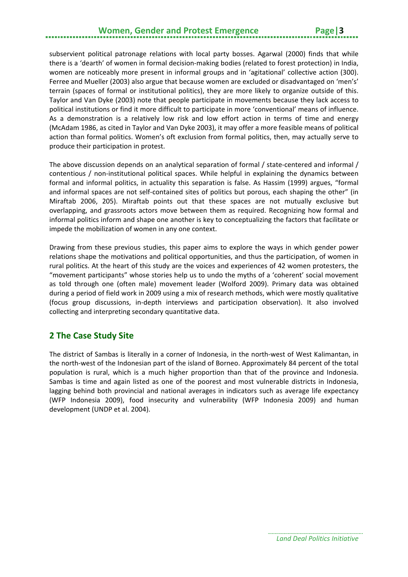## **Women, Gender and Protest Emergence Page | 3**

subservient political patronage relations with local party bosses. Agarwal (2000) finds that while there is a ʻdearth' of women in formal decision-making bodies (related to forest protection) in India, women are noticeably more present in informal groups and in ʻagitational' collective action (300). Ferree and Mueller (2003) also argue that because women are excluded or disadvantaged on ʻmen's' terrain (spaces of formal or institutional politics), they are more likely to organize outside of this. Taylor and Van Dyke (2003) note that people participate in movements because they lack access to political institutions or find it more difficult to participate in more ʻconventional' means of influence. As a demonstration is a relatively low risk and low effort action in terms of time and energy (McAdam 1986, as cited in Taylor and Van Dyke 2003), it may offer a more feasible means of political action than formal politics. Women's oft exclusion from formal politics, then, may actually serve to produce their participation in protest.

The above discussion depends on an analytical separation of formal / state-centered and informal / contentious / non-institutional political spaces. While helpful in explaining the dynamics between formal and informal politics, in actuality this separation is false. As Hassim (1999) argues, "formal and informal spaces are not self-contained sites of politics but porous, each shaping the other" (in Miraftab 2006, 205). Miraftab points out that these spaces are not mutually exclusive but overlapping, and grassroots actors move between them as required. Recognizing how formal and informal politics inform and shape one another is key to conceptualizing the factors that facilitate or impede the mobilization of women in any one context.

Drawing from these previous studies, this paper aims to explore the ways in which gender power relations shape the motivations and political opportunities, and thus the participation, of women in rural politics. At the heart of this study are the voices and experiences of 42 women protesters, the "movement participants" whose stories help us to undo the myths of a 'coherent' social movement as told through one (often male) movement leader (Wolford 2009). Primary data was obtained during a period of field work in 2009 using a mix of research methods, which were mostly qualitative (focus group discussions, in-depth interviews and participation observation). It also involved collecting and interpreting secondary quantitative data.

#### <span id="page-6-0"></span>**2 The Case Study Site**

The district of Sambas is literally in a corner of Indonesia, in the north-west of West Kalimantan, in the north-west of the Indonesian part of the island of Borneo. Approximately 84 percent of the total population is rural, which is a much higher proportion than that of the province and Indonesia. Sambas is time and again listed as one of the poorest and most vulnerable districts in Indonesia, lagging behind both provincial and national averages in indicators such as average life expectancy (WFP Indonesia 2009), food insecurity and vulnerability (WFP Indonesia 2009) and human development (UNDP et al. 2004).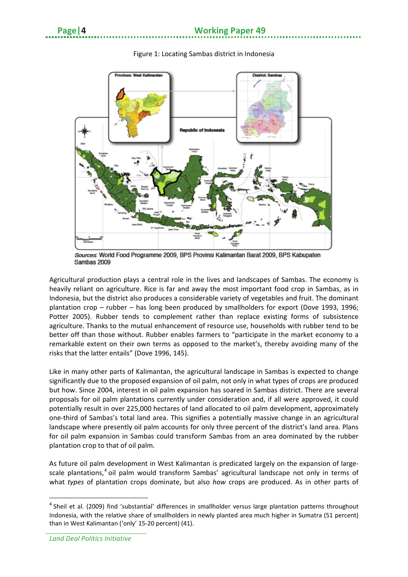

#### Figure 1: Locating Sambas district in Indonesia

Sources: World Food Programme 2009, BPS Provinsi Kalimantan Barat 2009, BPS Kabupaten Sambas 2009

Agricultural production plays a central role in the lives and landscapes of Sambas. The economy is heavily reliant on agriculture. Rice is far and away the most important food crop in Sambas, as in Indonesia, but the district also produces a considerable variety of vegetables and fruit. The dominant plantation crop – rubber – has long been produced by smallholders for export (Dove 1993, 1996; Potter 2005). Rubber tends to complement rather than replace existing forms of subsistence agriculture. Thanks to the mutual enhancement of resource use, households with rubber tend to be better off than those without. Rubber enables farmers to "participate in the market economy to a remarkable extent on their own terms as opposed to the market's, thereby avoiding many of the risks that the latter entails" (Dove 1996, 145).

Like in many other parts of Kalimantan, the agricultural landscape in Sambas is expected to change significantly due to the proposed expansion of oil palm, not only in what types of crops are produced but how. Since 2004, interest in oil palm expansion has soared in Sambas district. There are several proposals for oil palm plantations currently under consideration and, if all were approved, it could potentially result in over 225,000 hectares of land allocated to oil palm development, approximately one-third of Sambas's total land area. This signifies a potentially massive change in an agricultural landscape where presently oil palm accounts for only three percent of the district's land area. Plans for oil palm expansion in Sambas could transform Sambas from an area dominated by the rubber plantation crop to that of oil palm.

As future oil palm development in West Kalimantan is predicated largely on the expansion of large-scale plantations,<sup>[4](#page-7-0)</sup> oil palm would transform Sambas' agricultural landscape not only in terms of what *types* of plantation crops dominate, but also *how* crops are produced. As in other parts of

 $\overline{\phantom{a}}$ 

<span id="page-7-0"></span> $<sup>4</sup>$  Sheil et al. (2009) find 'substantial' differences in smallholder versus large plantation patterns throughout</sup> Indonesia, with the relative share of smallholders in newly planted area much higher in Sumatra (51 percent) than in West Kalimantan (ʻonly' 15-20 percent) (41).

*Land Deal Politics Initiative*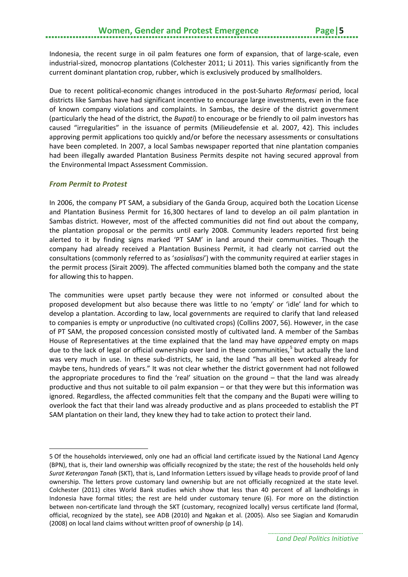Indonesia, the recent surge in oil palm features one form of expansion, that of large-scale, even industrial-sized, monocrop plantations (Colchester 2011; Li 2011). This varies significantly from the current dominant plantation crop, rubber, which is exclusively produced by smallholders.

Due to recent political-economic changes introduced in the post-Suharto *Reformasi* period, local districts like Sambas have had significant incentive to encourage large investments, even in the face of known company violations and complaints. In Sambas, the desire of the district government (particularly the head of the district, the *Bupati*) to encourage or be friendly to oil palm investors has caused "irregularities" in the issuance of permits (Milieudefensie et al. 2007, 42). This includes approving permit applications too quickly and/or before the necessary assessments or consultations have been completed. In 2007, a local Sambas newspaper reported that nine plantation companies had been illegally awarded Plantation Business Permits despite not having secured approval from the Environmental Impact Assessment Commission.

#### *From Permit to Protest*

 $\overline{\phantom{a}}$ 

In 2006, the company PT SAM, a subsidiary of the Ganda Group, acquired both the Location License and Plantation Business Permit for 16,300 hectares of land to develop an oil palm plantation in Sambas district. However, most of the affected communities did not find out about the company, the plantation proposal or the permits until early 2008. Community leaders reported first being alerted to it by finding signs marked ʻPT SAM' in land around their communities. Though the company had already received a Plantation Business Permit, it had clearly not carried out the consultations (commonly referred to as ʻ*sosialisasi*') with the community required at earlier stages in the permit process (Sirait 2009). The affected communities blamed both the company and the state for allowing this to happen.

The communities were upset partly because they were not informed or consulted about the proposed development but also because there was little to no ʻempty' or ʻidle' land for which to develop a plantation. According to law, local governments are required to clarify that land released to companies is empty or unproductive (no cultivated crops) (Collins 2007, 56). However, in the case of PT SAM, the proposed concession consisted mostly of cultivated land. A member of the Sambas House of Representatives at the time explained that the land may have *appeared* empty on maps due to the lack of legal or official ownership over land in these communities,<sup>[5](#page-8-0)</sup> but actually the land was very much in use. In these sub-districts, he said, the land "has all been worked already for maybe tens, hundreds of years." It was not clear whether the district government had not followed the appropriate procedures to find the ʻreal' situation on the ground – that the land was already productive and thus not suitable to oil palm expansion – or that they were but this information was ignored. Regardless, the affected communities felt that the company and the Bupati were willing to overlook the fact that their land was already productive and as plans proceeded to establish the PT SAM plantation on their land, they knew they had to take action to protect their land.

<span id="page-8-0"></span><sup>5</sup> Of the households interviewed, only one had an official land certificate issued by the National Land Agency (BPN), that is, their land ownership was officially recognized by the state; the rest of the households held only *Surat Keterangan Tanah* (SKT), that is, Land Information Letters issued by village heads to provide proof of land ownership. The letters prove customary land ownership but are not officially recognized at the state level. Colchester (2011) cites World Bank studies which show that less than 40 percent of all landholdings in Indonesia have formal titles; the rest are held under customary tenure (6). For more on the distinction between non-certificate land through the SKT (customary, recognized locally) versus certificate land (formal, official, recognized by the state), see ADB (2010) and Ngakan et al. (2005). Also see Siagian and Komarudin (2008) on local land claims without written proof of ownership (p 14).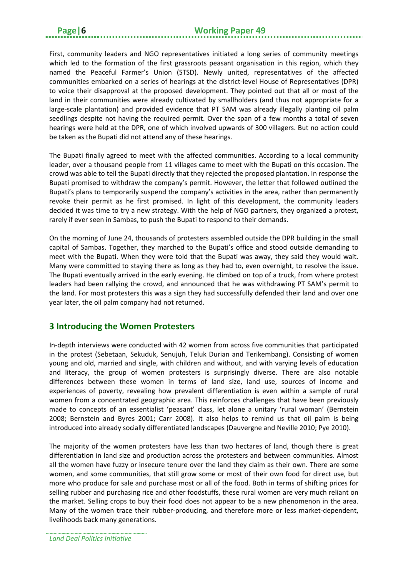First, community leaders and NGO representatives initiated a long series of community meetings which led to the formation of the first grassroots peasant organisation in this region, which they named the Peaceful Farmer's Union (STSD). Newly united, representatives of the affected communities embarked on a series of hearings at the district-level House of Representatives (DPR) to voice their disapproval at the proposed development. They pointed out that all or most of the land in their communities were already cultivated by smallholders (and thus not appropriate for a large-scale plantation) and provided evidence that PT SAM was already illegally planting oil palm seedlings despite not having the required permit. Over the span of a few months a total of seven hearings were held at the DPR, one of which involved upwards of 300 villagers. But no action could be taken as the Bupati did not attend any of these hearings.

The Bupati finally agreed to meet with the affected communities. According to a local community leader, over a thousand people from 11 villages came to meet with the Bupati on this occasion. The crowd was able to tell the Bupati directly that they rejected the proposed plantation. In response the Bupati promised to withdraw the company's permit. However, the letter that followed outlined the Bupati's plans to temporarily suspend the company's activities in the area, rather than permanently revoke their permit as he first promised. In light of this development, the community leaders decided it was time to try a new strategy. With the help of NGO partners, they organized a protest, rarely if ever seen in Sambas, to push the Bupati to respond to their demands.

On the morning of June 24, thousands of protesters assembled outside the DPR building in the small capital of Sambas. Together, they marched to the Bupati's office and stood outside demanding to meet with the Bupati. When they were told that the Bupati was away, they said they would wait. Many were committed to staying there as long as they had to, even overnight, to resolve the issue. The Bupati eventually arrived in the early evening. He climbed on top of a truck, from where protest leaders had been rallying the crowd, and announced that he was withdrawing PT SAM's permit to the land. For most protesters this was a sign they had successfully defended their land and over one year later, the oil palm company had not returned.

#### <span id="page-9-0"></span>**3 Introducing the Women Protesters**

In-depth interviews were conducted with 42 women from across five communities that participated in the protest (Sebetaan, Sekuduk, Senujuh, Teluk Durian and Terikembang). Consisting of women young and old, married and single, with children and without, and with varying levels of education and literacy, the group of women protesters is surprisingly diverse. There are also notable differences between these women in terms of land size, land use, sources of income and experiences of poverty, revealing how prevalent differentiation is even within a sample of rural women from a concentrated geographic area. This reinforces challenges that have been previously made to concepts of an essentialist 'peasant' class, let alone a unitary 'rural woman' (Bernstein 2008; Bernstein and Byres 2001; Carr 2008). It also helps to remind us that oil palm is being introduced into already socially differentiated landscapes (Dauvergne and Neville 2010; Pye 2010).

The majority of the women protesters have less than two hectares of land, though there is great differentiation in land size and production across the protesters and between communities. Almost all the women have fuzzy or insecure tenure over the land they claim as their own. There are some women, and some communities, that still grow some or most of their own food for direct use, but more who produce for sale and purchase most or all of the food. Both in terms of shifting prices for selling rubber and purchasing rice and other foodstuffs, these rural women are very much reliant on the market. Selling crops to buy their food does not appear to be a new phenomenon in the area. Many of the women trace their rubber-producing, and therefore more or less market-dependent, livelihoods back many generations.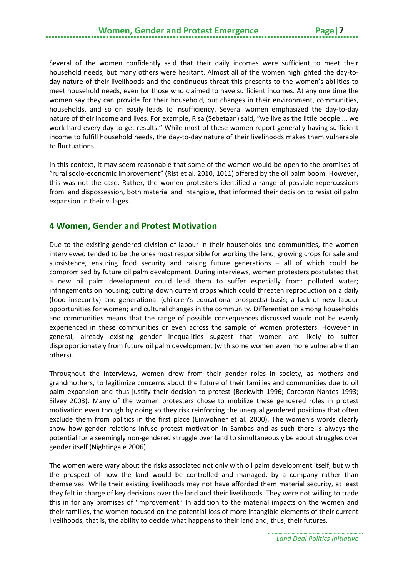Several of the women confidently said that their daily incomes were sufficient to meet their household needs, but many others were hesitant. Almost all of the women highlighted the day-today nature of their livelihoods and the continuous threat this presents to the women's abilities to meet household needs, even for those who claimed to have sufficient incomes. At any one time the women say they can provide for their household, but changes in their environment, communities, households, and so on easily leads to insufficiency. Several women emphasized the day-to-day nature of their income and lives. For example, Risa (Sebetaan) said, "we live as the little people ... we work hard every day to get results." While most of these women report generally having sufficient income to fulfill household needs, the day-to-day nature of their livelihoods makes them vulnerable to fluctuations.

In this context, it may seem reasonable that some of the women would be open to the promises of "rural socio-economic improvement" (Rist et al. 2010, 1011) offered by the oil palm boom. However, this was not the case. Rather, the women protesters identified a range of possible repercussions from land dispossession, both material and intangible, that informed their decision to resist oil palm expansion in their villages.

#### <span id="page-10-0"></span>**4 Women, Gender and Protest Motivation**

Due to the existing gendered division of labour in their households and communities, the women interviewed tended to be the ones most responsible for working the land, growing crops for sale and subsistence, ensuring food security and raising future generations – all of which could be compromised by future oil palm development. During interviews, women protesters postulated that a new oil palm development could lead them to suffer especially from: polluted water; infringements on housing; cutting down current crops which could threaten reproduction on a daily (food insecurity) and generational (children's educational prospects) basis; a lack of new labour opportunities for women; and cultural changes in the community. Differentiation among households and communities means that the range of possible consequences discussed would not be evenly experienced in these communities or even across the sample of women protesters. However in general, already existing gender inequalities suggest that women are likely to suffer disproportionately from future oil palm development (with some women even more vulnerable than others).

Throughout the interviews, women drew from their gender roles in society, as mothers and grandmothers, to legitimize concerns about the future of their families and communities due to oil palm expansion and thus justify their decision to protest (Beckwith 1996; Corcoran-Nantes 1993; Silvey 2003). Many of the women protesters chose to mobilize these gendered roles in protest motivation even though by doing so they risk reinforcing the unequal gendered positions that often exclude them from politics in the first place (Einwohner et al. 2000). The women's words clearly show how gender relations infuse protest motivation in Sambas and as such there is always the potential for a seemingly non-gendered struggle over land to simultaneously be about struggles over gender itself (Nightingale 2006).

The women were wary about the risks associated not only with oil palm development itself, but with the prospect of how the land would be controlled and managed, by a company rather than themselves. While their existing livelihoods may not have afforded them material security, at least they felt in charge of key decisions over the land and their livelihoods. They were not willing to trade this in for any promises of ʻimprovement.' In addition to the material impacts on the women and their families, the women focused on the potential loss of more intangible elements of their current livelihoods, that is, the ability to decide what happens to their land and, thus, their futures.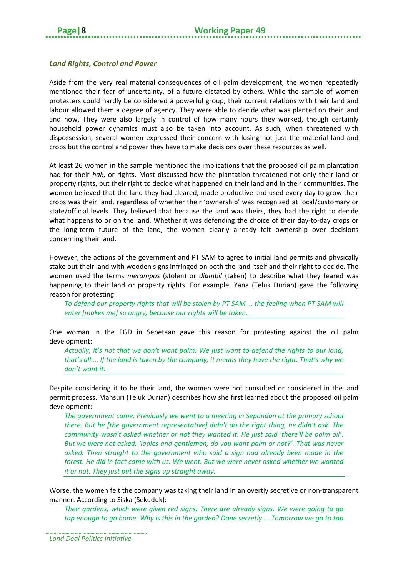#### *Land Rights, Control and Power*

Aside from the very real material consequences of oil palm development, the women repeatedly mentioned their fear of uncertainty, of a future dictated by others. While the sample of women protesters could hardly be considered a powerful group, their current relations with their land and labour allowed them a degree of agency. They were able to decide what was planted on their land and how. They were also largely in control of how many hours they worked, though certainly household power dynamics must also be taken into account. As such, when threatened with dispossession, several women expressed their concern with losing not just the material land and crops but the control and power they have to make decisions over these resources as well.

At least 26 women in the sample mentioned the implications that the proposed oil palm plantation had for their *hak*, or rights. Most discussed how the plantation threatened not only their land or property rights, but their right to decide what happened on their land and in their communities. The women believed that the land they had cleared, made productive and used every day to grow their crops was their land, regardless of whether their ʻownership' was recognized at local/customary or state/official levels. They believed that because the land was theirs, they had the right to decide what happens to or on the land. Whether it was defending the choice of their day-to-day crops or the long-term future of the land, the women clearly already felt ownership over decisions concerning their land.

However, the actions of the government and PT SAM to agree to initial land permits and physically stake out their land with wooden signs infringed on both the land itself and their right to decide. The women used the terms *merampas* (stolen) or *diambil* (taken) to describe what they feared was happening to their land or property rights. For example, Yana (Teluk Durian) gave the following reason for protesting:

*To defend our property rights that will be stolen by PT SAM … the feeling when PT SAM will enter [makes me] so angry, because our rights will be taken.*

One woman in the FGD in Sebetaan gave this reason for protesting against the oil palm development:

*Actually, it's not that we don't want palm. We just want to defend the rights to our land, that's all ... If the land is taken by the company, it means they have the right. That's why we don't want it.*

Despite considering it to be their land, the women were not consulted or considered in the land permit process. Mahsuri (Teluk Durian) describes how she first learned about the proposed oil palm development:

*The government came. Previously we went to a meeting in Sepandan at the primary school there. But he [the government representative] didn't do the right thing, he didn't ask. The community wasn't asked whether or not they wanted it. He just said ʻthere'll be palm oil'. But we were not asked, ʻladies and gentlemen, do you want palm or not?'. That was never asked. Then straight to the government who said a sign had already been made in the forest. He did in fact come with us. We went. But we were never asked whether we wanted it or not. They just put the signs up straight away.*

Worse, the women felt the company was taking their land in an overtly secretive or non-transparent manner. According to Siska (Sekuduk):

*Their gardens, which were given red signs. There are already signs. We were going to go tap enough to go home. Why is this in the garden? Done secretly ... Tomorrow we go to tap*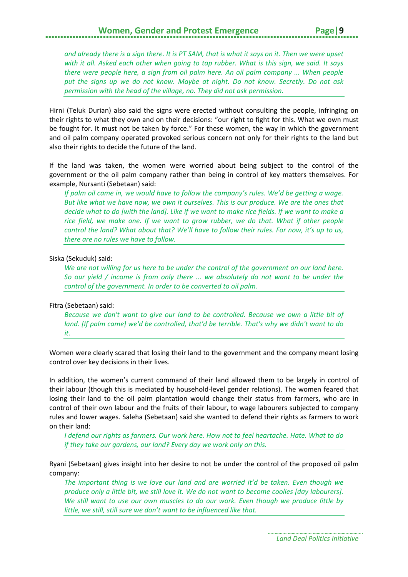### **Women, Gender and Protest Emergence Page |**

*and already there is a sign there. It is PT SAM, that is what it says on it. Then we were upset with it all. Asked each other when going to tap rubber. What is this sign, we said. It says there were people here, a sign from oil palm here. An oil palm company ... When people put the signs up we do not know. Maybe at night. Do not know. Secretly. Do not ask permission with the head of the village, no. They did not ask permission.*

Hirni (Teluk Durian) also said the signs were erected without consulting the people, infringing on their rights to what they own and on their decisions: "our right to fight for this. What we own must be fought for. It must not be taken by force." For these women, the way in which the government and oil palm company operated provoked serious concern not only for their rights to the land but also their rights to decide the future of the land.

If the land was taken, the women were worried about being subject to the control of the government or the oil palm company rather than being in control of key matters themselves. For example, Nursanti (Sebetaan) said:

*If palm oil came in, we would have to follow the company's rules. We'd be getting a wage. But like what we have now, we own it ourselves. This is our produce. We are the ones that decide what to do [with the land]. Like if we want to make rice fields. If we want to make a rice field, we make one. If we want to grow rubber, we do that. What if other people control the land? What about that? We'll have to follow their rules. For now, it's up to us, there are no rules we have to follow.*

#### Siska (Sekuduk) said:

*We are not willing for us here to be under the control of the government on our land here. So our yield / income is from only there ... we absolutely do not want to be under the control of the government. In order to be converted to oil palm.*

#### Fitra (Sebetaan) said:

*Because we don't want to give our land to be controlled. Because we own a little bit of land. [If palm came] we'd be controlled, that'd be terrible. That's why we didn't want to do it.*

Women were clearly scared that losing their land to the government and the company meant losing control over key decisions in their lives.

In addition, the women's current command of their land allowed them to be largely in control of their labour (though this is mediated by household-level gender relations). The women feared that losing their land to the oil palm plantation would change their status from farmers, who are in control of their own labour and the fruits of their labour, to wage labourers subjected to company rules and lower wages. Saleha (Sebetaan) said she wanted to defend their rights as farmers to work on their land:

*I defend our rights as farmers. Our work here. How not to feel heartache. Hate. What to do if they take our gardens, our land? Every day we work only on this.*

Ryani (Sebetaan) gives insight into her desire to not be under the control of the proposed oil palm company:

*The important thing is we love our land and are worried it'd be taken. Even though we produce only a little bit, we still love it. We do not want to become coolies [day labourers]. We still want to use our own muscles to do our work. Even though we produce little by little, we still, still sure we don't want to be influenced like that.*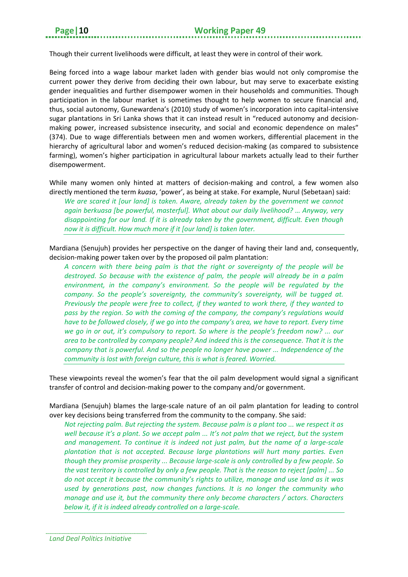Though their current livelihoods were difficult, at least they were in control of their work.

Being forced into a wage labour market laden with gender bias would not only compromise the current power they derive from deciding their own labour, but may serve to exacerbate existing gender inequalities and further disempower women in their households and communities. Though participation in the labour market is sometimes thought to help women to secure financial and, thus, social autonomy, Gunewardena's (2010) study of women's incorporation into capital-intensive sugar plantations in Sri Lanka shows that it can instead result in "reduced autonomy and decisionmaking power, increased subsistence insecurity, and social and economic dependence on males" (374). Due to wage differentials between men and women workers, differential placement in the hierarchy of agricultural labor and women's reduced decision-making (as compared to subsistence farming), women's higher participation in agricultural labour markets actually lead to their further disempowerment.

While many women only hinted at matters of decision-making and control, a few women also directly mentioned the term *kuasa*, ʻpower', as being at stake. For example, Nurul (Sebetaan) said:

*We are scared it [our land] is taken. Aware, already taken by the government we cannot again berkuasa [be powerful, masterful]. What about our daily livelihood? … Anyway, very disappointing for our land. If it is already taken by the government, difficult. Even though now it is difficult. How much more if it [our land] is taken later.*

Mardiana (Senujuh) provides her perspective on the danger of having their land and, consequently, decision-making power taken over by the proposed oil palm plantation:

*A concern with there being palm is that the right or sovereignty of the people will be destroyed. So because with the existence of palm, the people will already be in a palm environment, in the company's environment. So the people will be regulated by the company. So the people's sovereignty, the community's sovereignty, will be tugged at. Previously the people were free to collect, if they wanted to work there, if they wanted to pass by the region. So with the coming of the company, the company's regulations would have to be followed closely, if we go into the company's area, we have to report. Every time we go in or out, it's compulsory to report. So where is the people's freedom now? ... our area to be controlled by company people? And indeed this is the consequence. That it is the company that is powerful. And so the people no longer have power ... Independence of the community is lost with foreign culture, this is what is feared. Worried.*

These viewpoints reveal the women's fear that the oil palm development would signal a significant transfer of control and decision-making power to the company and/or government.

Mardiana (Senujuh) blames the large-scale nature of an oil palm plantation for leading to control over key decisions being transferred from the community to the company. She said:

*Not rejecting palm. But rejecting the system. Because palm is a plant too ... we respect it as well because it's a plant. So we accept palm ... It's not palm that we reject, but the system and management. To continue it is indeed not just palm, but the name of a large-scale plantation that is not accepted. Because large plantations will hurt many parties. Even though they promise prosperity ... Because large-scale is only controlled by a few people. So the vast territory is controlled by only a few people. That is the reason to reject [palm] ... So do not accept it because the community's rights to utilize, manage and use land as it was used by generations past, now changes functions. It is no longer the community who manage and use it, but the community there only become characters / actors. Characters below it, if it is indeed already controlled on a large-scale.*

*Land Deal Politics Initiative*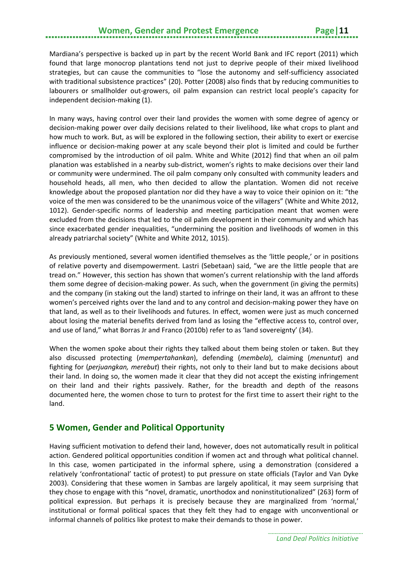## **Women, Gender and Protest Emergence Fage | 11**

Mardiana's perspective is backed up in part by the recent World Bank and IFC report (2011) which found that large monocrop plantations tend not just to deprive people of their mixed livelihood strategies, but can cause the communities to "lose the autonomy and self-sufficiency associated with traditional subsistence practices" (20). Potter (2008) also finds that by reducing communities to labourers or smallholder out-growers, oil palm expansion can restrict local people's capacity for independent decision-making (1).

In many ways, having control over their land provides the women with some degree of agency or decision-making power over daily decisions related to their livelihood, like what crops to plant and how much to work. But, as will be explored in the following section, their ability to exert or exercise influence or decision-making power at any scale beyond their plot is limited and could be further compromised by the introduction of oil palm. White and White (2012) find that when an oil palm planation was established in a nearby sub-district, women's rights to make decisions over their land or community were undermined. The oil palm company only consulted with community leaders and household heads, all men, who then decided to allow the plantation. Women did not receive knowledge about the proposed plantation nor did they have a way to voice their opinion on it: "the voice of the men was considered to be the unanimous voice of the villagers" (White and White 2012, 1012). Gender-specific norms of leadership and meeting participation meant that women were excluded from the decisions that led to the oil palm development in their community and which has since exacerbated gender inequalities, "undermining the position and livelihoods of women in this already patriarchal society" (White and White 2012, 1015).

As previously mentioned, several women identified themselves as the ʻlittle people,' or in positions of relative poverty and disempowerment. Lastri (Sebetaan) said, "we are the little people that are tread on." However, this section has shown that women's current relationship with the land affords them some degree of decision-making power. As such, when the government (in giving the permits) and the company (in staking out the land) started to infringe on their land, it was an affront to these women's perceived rights over the land and to any control and decision-making power they have on that land, as well as to their livelihoods and futures. In effect, women were just as much concerned about losing the material benefits derived from land as losing the "effective access to, control over, and use of land," what Borras Jr and Franco (2010b) refer to as ʻland sovereignty' (34).

When the women spoke about their rights they talked about them being stolen or taken. But they also discussed protecting (*mempertahankan*), defending (*membela*), claiming (*menuntut*) and fighting for (*perjuangkan, merebut*) their rights, not only to their land but to make decisions about their land. In doing so, the women made it clear that they did not accept the existing infringement on their land and their rights passively. Rather, for the breadth and depth of the reasons documented here, the women chose to turn to protest for the first time to assert their right to the land.

#### <span id="page-14-0"></span>**5 Women, Gender and Political Opportunity**

Having sufficient motivation to defend their land, however, does not automatically result in political action. Gendered political opportunities condition if women act and through what political channel. In this case, women participated in the informal sphere, using a demonstration (considered a relatively ʻconfrontational' tactic of protest) to put pressure on state officials (Taylor and Van Dyke 2003). Considering that these women in Sambas are largely apolitical, it may seem surprising that they chose to engage with this "novel, dramatic, unorthodox and noninstitutionalized" (263) form of political expression. But perhaps it is precisely because they are marginalized from ʻnormal,' institutional or formal political spaces that they felt they had to engage with unconventional or informal channels of politics like protest to make their demands to those in power.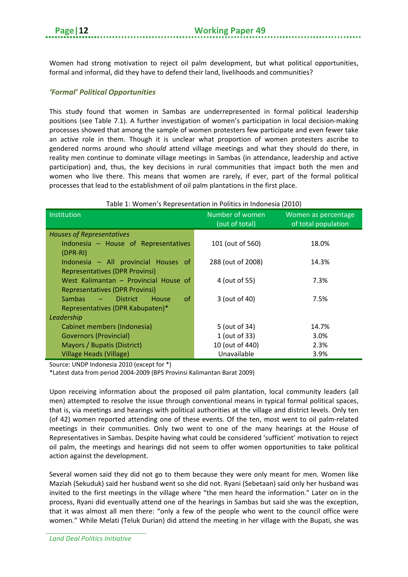Women had strong motivation to reject oil palm development, but what political opportunities, formal and informal, did they have to defend their land, livelihoods and communities?

#### *'Formal' Political Opportunities*

This study found that women in Sambas are underrepresented in formal political leadership positions (see Table 7.1). A further investigation of women's participation in local decision-making processes showed that among the sample of women protesters few participate and even fewer take an active role in them. Though it is unclear what proportion of women protesters ascribe to gendered norms around who *should* attend village meetings and what they should do there, in reality men continue to dominate village meetings in Sambas (in attendance, leadership and active participation) and, thus, the key decisions in rural communities that impact both the men and women who live there. This means that women are rarely, if ever, part of the formal political processes that lead to the establishment of oil palm plantations in the first place.

#### Table 1: Women's Representation in Politics in Indonesia (2010)

| Institution                                | Number of women<br>(out of total) | Women as percentage<br>of total population |
|--------------------------------------------|-----------------------------------|--------------------------------------------|
| <b>Houses of Representatives</b>           |                                   |                                            |
| Indonesia - House of Representatives       | 101 (out of 560)                  | 18.0%                                      |
| $(DPR-RI)$                                 |                                   |                                            |
| Indonesia - All provincial Houses of       | 288 (out of 2008)                 | 14.3%                                      |
| <b>Representatives (DPR Provinsi)</b>      |                                   |                                            |
| West Kalimantan - Provincial House of      | 4 (out of 55)                     | 7.3%                                       |
| <b>Representatives (DPR Provinsi)</b>      |                                   |                                            |
| Sambas<br>– District<br>0f<br><b>House</b> | 3 (out of 40)                     | 7.5%                                       |
| Representatives (DPR Kabupaten)*           |                                   |                                            |
| Leadership                                 |                                   |                                            |
| Cabinet members (Indonesia)                | 5 (out of 34)                     | 14.7%                                      |
| <b>Governors (Provincial)</b>              | 1 (out of 33)                     | 3.0%                                       |
| Mayors / Bupatis (District)                | 10 (out of 440)                   | 2.3%                                       |
| Village Heads (Village)                    | Unavailable                       | 3.9%                                       |

Source: UNDP Indonesia 2010 (except for \*)

\*Latest data from period 2004-2009 (BPS Provinsi Kalimantan Barat 2009)

Upon receiving information about the proposed oil palm plantation, local community leaders (all men) attempted to resolve the issue through conventional means in typical formal political spaces, that is, via meetings and hearings with political authorities at the village and district levels. Only ten (of 42) women reported attending one of these events. Of the ten, most went to oil palm-related meetings in their communities. Only two went to one of the many hearings at the House of Representatives in Sambas. Despite having what could be considered ʻsufficient' motivation to reject oil palm, the meetings and hearings did not seem to offer women opportunities to take political action against the development.

Several women said they did not go to them because they were only meant for men. Women like Maziah (Sekuduk) said her husband went so she did not. Ryani (Sebetaan) said only her husband was invited to the first meetings in the village where "the men heard the information." Later on in the process, Ryani did eventually attend one of the hearings in Sambas but said she was the exception, that it was almost all men there: "only a few of the people who went to the council office were women." While Melati (Teluk Durian) did attend the meeting in her village with the Bupati, she was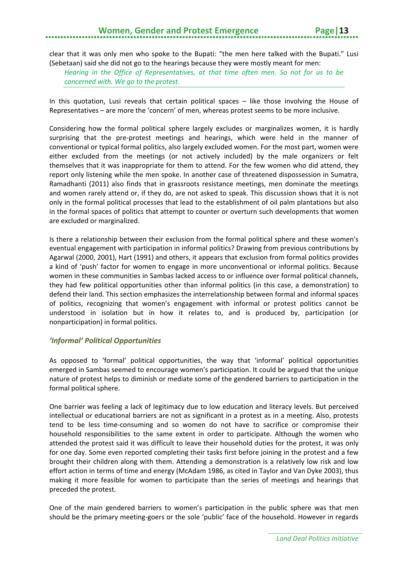## **Women, Gender and Protest Emergence Page**

clear that it was only men who spoke to the Bupati: "the men here talked with the Bupati." Lusi (Sebetaan) said she did not go to the hearings because they were mostly meant for men:

*Hearing in the Office of Representatives, at that time often men. So not for us to be concerned with. We go to the protest.*

In this quotation, Lusi reveals that certain political spaces – like those involving the House of Representatives – are more the ʻconcern' of men, whereas protest seems to be more inclusive.

Considering how the formal political sphere largely excludes or marginalizes women, it is hardly surprising that the pre-protest meetings and hearings, which were held in the manner of conventional or typical formal politics, also largely excluded women. For the most part, women were either excluded from the meetings (or not actively included) by the male organizers or felt themselves that it was inappropriate for them to attend. For the few women who did attend, they report only listening while the men spoke. In another case of threatened dispossession in Sumatra, Ramadhanti (2011) also finds that in grassroots resistance meetings, men dominate the meetings and women rarely attend or, if they do, are not asked to speak. This discussion shows that it is not only in the formal political processes that lead to the establishment of oil palm plantations but also in the formal spaces of politics that attempt to counter or overturn such developments that women are excluded or marginalized.

Is there a relationship between their exclusion from the formal political sphere and these women's eventual engagement with participation in informal politics? Drawing from previous contributions by Agarwal (2000, 2001), Hart (1991) and others, it appears that exclusion from formal politics provides a kind of ʻpush' factor for women to engage in more unconventional or informal politics. Because women in these communities in Sambas lacked access to or influence over formal political channels, they had few political opportunities other than informal politics (in this case, a demonstration) to defend their land. This section emphasizes the interrelationship between formal and informal spaces of politics, recognizing that women's engagement with informal or protest politics cannot be understood in isolation but in how it relates to, and is produced by, participation (or nonparticipation) in formal politics.

#### *'Informal' Political Opportunities*

As opposed to 'formal' political opportunities, the way that 'informal' political opportunities emerged in Sambas seemed to encourage women's participation. It could be argued that the unique nature of protest helps to diminish or mediate some of the gendered barriers to participation in the formal political sphere.

One barrier was feeling a lack of legitimacy due to low education and literacy levels. But perceived intellectual or educational barriers are not as significant in a protest as in a meeting. Also, protests tend to be less time-consuming and so women do not have to sacrifice or compromise their household responsibilities to the same extent in order to participate. Although the women who attended the protest said it was difficult to leave their household duties for the protest, it was only for one day. Some even reported completing their tasks first before joining in the protest and a few brought their children along with them. Attending a demonstration is a relatively low risk and low effort action in terms of time and energy (McAdam 1986, as cited in Taylor and Van Dyke 2003), thus making it more feasible for women to participate than the series of meetings and hearings that preceded the protest.

One of the main gendered barriers to women's participation in the public sphere was that men should be the primary meeting-goers or the sole ʻpublic' face of the household. However in regards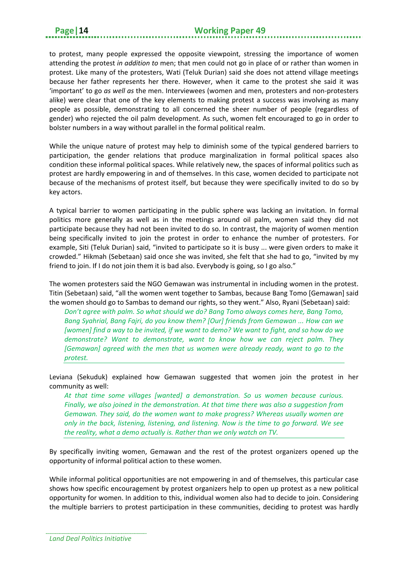to protest, many people expressed the opposite viewpoint, stressing the importance of women attending the protest *in addition to* men; that men could not go in place of or rather than women in protest. Like many of the protesters, Wati (Teluk Durian) said she does not attend village meetings because her father represents her there. However, when it came to the protest she said it was ʻimportant' to go *as well as* the men. Interviewees (women and men, protesters and non-protesters alike) were clear that one of the key elements to making protest a success was involving as many people as possible, demonstrating to all concerned the sheer number of people (regardless of gender) who rejected the oil palm development. As such, women felt encouraged to go in order to bolster numbers in a way without parallel in the formal political realm.

While the unique nature of protest may help to diminish some of the typical gendered barriers to participation, the gender relations that produce marginalization in formal political spaces also condition these informal political spaces. While relatively new, the spaces of informal politics such as protest are hardly empowering in and of themselves. In this case, women decided to participate not because of the mechanisms of protest itself, but because they were specifically invited to do so by key actors.

A typical barrier to women participating in the public sphere was lacking an invitation. In formal politics more generally as well as in the meetings around oil palm, women said they did not participate because they had not been invited to do so. In contrast, the majority of women mention being specifically invited to join the protest in order to enhance the number of protesters. For example, Siti (Teluk Durian) said, "invited to participate so it is busy ... were given orders to make it crowded." Hikmah (Sebetaan) said once she was invited, she felt that she had to go, "invited by my friend to join. If I do not join them it is bad also. Everybody is going, so I go also."

The women protesters said the NGO Gemawan was instrumental in including women in the protest. Titin (Sebetaan) said, "all the women went together to Sambas, because Bang Tomo [Gemawan] said the women should go to Sambas to demand our rights, so they went." Also, Ryani (Sebetaan) said:

*Don't agree with palm. So what should we do? Bang Tomo always comes here, Bang Tomo, Bang Syahrial, Bang Fajri, do you know them? [Our] friends from Gemawan ... How can we [women] find a way to be invited, if we want to demo? We want to fight, and so how do we demonstrate? Want to demonstrate, want to know how we can reject palm. They [Gemawan] agreed with the men that us women were already ready, want to go to the protest.*

Leviana (Sekuduk) explained how Gemawan suggested that women join the protest in her community as well:

*At that time some villages [wanted] a demonstration. So us women because curious. Finally, we also joined in the demonstration. At that time there was also a suggestion from Gemawan. They said, do the women want to make progress? Whereas usually women are only in the back, listening, listening, and listening. Now is the time to go forward. We see the reality, what a demo actually is. Rather than we only watch on TV.*

By specifically inviting women, Gemawan and the rest of the protest organizers opened up the opportunity of informal political action to these women.

While informal political opportunities are not empowering in and of themselves, this particular case shows how specific encouragement by protest organizers help to open up protest as a new political opportunity for women. In addition to this, individual women also had to decide to join. Considering the multiple barriers to protest participation in these communities, deciding to protest was hardly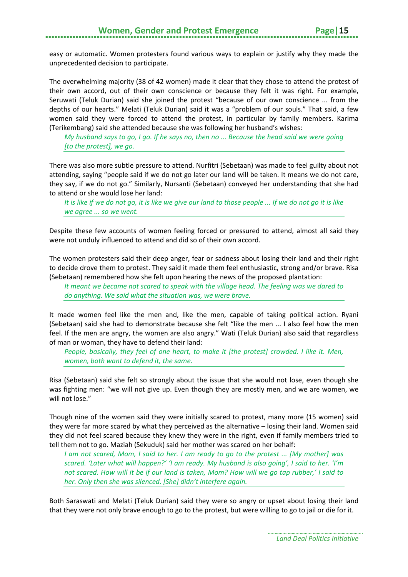easy or automatic. Women protesters found various ways to explain or justify why they made the unprecedented decision to participate.

The overwhelming majority (38 of 42 women) made it clear that they chose to attend the protest of their own accord, out of their own conscience or because they felt it was right. For example, Seruwati (Teluk Durian) said she joined the protest "because of our own conscience ... from the depths of our hearts." Melati (Teluk Durian) said it was a "problem of our souls." That said, a few women said they were forced to attend the protest, in particular by family members. Karima (Terikembang) said she attended because she was following her husband's wishes:

*My husband says to go, I go. If he says no, then no ... Because the head said we were going [to the protest], we go.*

There was also more subtle pressure to attend. Nurfitri (Sebetaan) was made to feel guilty about not attending, saying "people said if we do not go later our land will be taken. It means we do not care, they say, if we do not go." Similarly, Nursanti (Sebetaan) conveyed her understanding that she had to attend or she would lose her land:

*It is like if we do not go, it is like we give our land to those people ... If we do not go it is like we agree ... so we went.*

Despite these few accounts of women feeling forced or pressured to attend, almost all said they were not unduly influenced to attend and did so of their own accord.

The women protesters said their deep anger, fear or sadness about losing their land and their right to decide drove them to protest. They said it made them feel enthusiastic, strong and/or brave. Risa (Sebetaan) remembered how she felt upon hearing the news of the proposed plantation:

*It meant we became not scared to speak with the village head. The feeling was we dared to do anything. We said what the situation was, we were brave.*

It made women feel like the men and, like the men, capable of taking political action. Ryani (Sebetaan) said she had to demonstrate because she felt "like the men ... I also feel how the men feel. If the men are angry, the women are also angry." Wati (Teluk Durian) also said that regardless of man or woman, they have to defend their land:

*People, basically, they feel of one heart, to make it [the protest] crowded. I like it. Men, women, both want to defend it, the same.*

Risa (Sebetaan) said she felt so strongly about the issue that she would not lose, even though she was fighting men: "we will not give up. Even though they are mostly men, and we are women, we will not lose."

Though nine of the women said they were initially scared to protest, many more (15 women) said they were far more scared by what they perceived as the alternative – losing their land. Women said they did not feel scared because they knew they were in the right, even if family members tried to tell them not to go. Maziah (Sekuduk) said her mother was scared on her behalf:

*I am not scared, Mom, I said to her. I am ready to go to the protest ... [My mother] was scared. ʻLater what will happen?' ʻI am ready. My husband is also going', I said to her. 'I'm not scared. How will it be if our land is taken, Mom? How will we go tap rubber,' I said to her. Only then she was silenced. [She] didn't interfere again.*

Both Saraswati and Melati (Teluk Durian) said they were so angry or upset about losing their land that they were not only brave enough to go to the protest, but were willing to go to jail or die for it.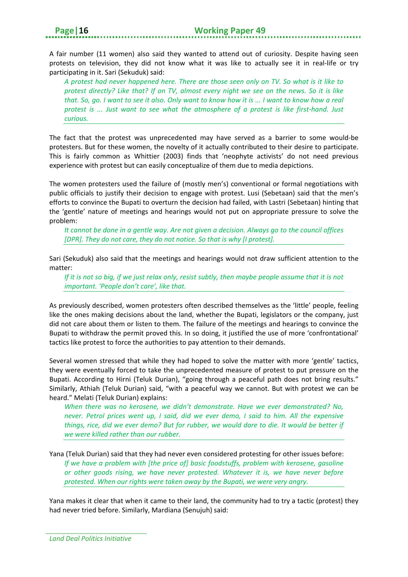A fair number (11 women) also said they wanted to attend out of curiosity. Despite having seen protests on television, they did not know what it was like to actually see it in real-life or try participating in it. Sari (Sekuduk) said:

*A protest had never happened here. There are those seen only on TV. So what is it like to protest directly? Like that? If on TV, almost every night we see on the news. So it is like that. So, go. I want to see it also. Only want to know how it is ... I want to know how a real protest is ... Just want to see what the atmosphere of a protest is like first-hand. Just curious.*

The fact that the protest was unprecedented may have served as a barrier to some would-be protesters. But for these women, the novelty of it actually contributed to their desire to participate. This is fairly common as Whittier (2003) finds that ʻneophyte activists' do not need previous experience with protest but can easily conceptualize of them due to media depictions.

The women protesters used the failure of (mostly men's) conventional or formal negotiations with public officials to justify their decision to engage with protest. Lusi (Sebetaan) said that the men's efforts to convince the Bupati to overturn the decision had failed, with Lastri (Sebetaan) hinting that the ʻgentle' nature of meetings and hearings would not put on appropriate pressure to solve the problem:

*It cannot be done in a gentle way. Are not given a decision. Always go to the council offices [DPR]. They do not care, they do not notice. So that is why [I protest].*

Sari (Sekuduk) also said that the meetings and hearings would not draw sufficient attention to the matter:

*If it is not so big, if we just relax only, resist subtly, then maybe people assume that it is not important. ʻPeople don't care', like that.*

As previously described, women protesters often described themselves as the ʻlittle' people, feeling like the ones making decisions about the land, whether the Bupati, legislators or the company, just did not care about them or listen to them. The failure of the meetings and hearings to convince the Bupati to withdraw the permit proved this. In so doing, it justified the use of more ʻconfrontational' tactics like protest to force the authorities to pay attention to their demands.

Several women stressed that while they had hoped to solve the matter with more ʻgentle' tactics, they were eventually forced to take the unprecedented measure of protest to put pressure on the Bupati. According to Hirni (Teluk Durian), "going through a peaceful path does not bring results." Similarly, Athiah (Teluk Durian) said, "with a peaceful way we cannot. But with protest we can be heard." Melati (Teluk Durian) explains:

*When there was no kerosene, we didn't demonstrate. Have we ever demonstrated? No, never. Petrol prices went up, I said, did we ever demo, I said to him. All the expensive things, rice, did we ever demo? But for rubber, we would dare to die. It would be better if we were killed rather than our rubber.*

Yana (Teluk Durian) said that they had never even considered protesting for other issues before: *If we have a problem with [the price of] basic foodstuffs, problem with kerosene, gasoline or other goods rising, we have never protested. Whatever it is, we have never before protested. When our rights were taken away by the Bupati, we were very angry.*

Yana makes it clear that when it came to their land, the community had to try a tactic (protest) they had never tried before. Similarly, Mardiana (Senujuh) said: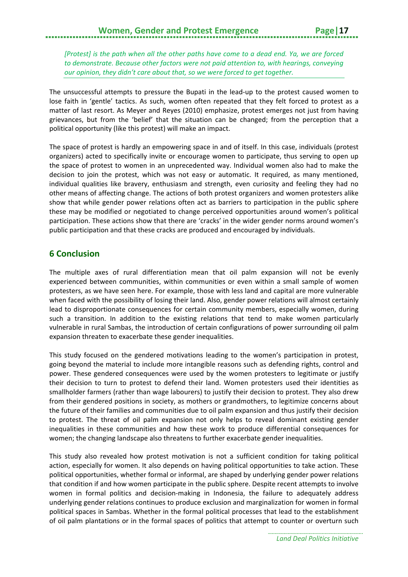*[Protest] is the path when all the other paths have come to a dead end. Ya, we are forced to demonstrate. Because other factors were not paid attention to, with hearings, conveying our opinion, they didn't care about that, so we were forced to get together.*

The unsuccessful attempts to pressure the Bupati in the lead-up to the protest caused women to lose faith in ʻgentle' tactics. As such, women often repeated that they felt forced to protest as a matter of last resort. As Meyer and Reyes (2010) emphasize, protest emerges not just from having grievances, but from the ʻbelief' that the situation can be changed; from the perception that a political opportunity (like this protest) will make an impact.

The space of protest is hardly an empowering space in and of itself. In this case, individuals (protest organizers) acted to specifically invite or encourage women to participate, thus serving to open up the space of protest to women in an unprecedented way. Individual women also had to make the decision to join the protest, which was not easy or automatic. It required, as many mentioned, individual qualities like bravery, enthusiasm and strength, even curiosity and feeling they had no other means of affecting change. The actions of both protest organizers and women protesters alike show that while gender power relations often act as barriers to participation in the public sphere these may be modified or negotiated to change perceived opportunities around women's political participation. These actions show that there are ʻcracks' in the wider gender norms around women's public participation and that these cracks are produced and encouraged by individuals.

#### <span id="page-20-0"></span>**6 Conclusion**

The multiple axes of rural differentiation mean that oil palm expansion will not be evenly experienced between communities, within communities or even within a small sample of women protesters, as we have seen here. For example, those with less land and capital are more vulnerable when faced with the possibility of losing their land. Also, gender power relations will almost certainly lead to disproportionate consequences for certain community members, especially women, during such a transition. In addition to the existing relations that tend to make women particularly vulnerable in rural Sambas, the introduction of certain configurations of power surrounding oil palm expansion threaten to exacerbate these gender inequalities.

This study focused on the gendered motivations leading to the women's participation in protest, going beyond the material to include more intangible reasons such as defending rights, control and power. These gendered consequences were used by the women protesters to legitimate or justify their decision to turn to protest to defend their land. Women protesters used their identities as smallholder farmers (rather than wage labourers) to justify their decision to protest. They also drew from their gendered positions in society, as mothers or grandmothers, to legitimize concerns about the future of their families and communities due to oil palm expansion and thus justify their decision to protest. The threat of oil palm expansion not only helps to reveal dominant existing gender inequalities in these communities and how these work to produce differential consequences for women; the changing landscape also threatens to further exacerbate gender inequalities.

This study also revealed how protest motivation is not a sufficient condition for taking political action, especially for women. It also depends on having political opportunities to take action. These political opportunities, whether formal or informal, are shaped by underlying gender power relations that condition if and how women participate in the public sphere. Despite recent attempts to involve women in formal politics and decision-making in Indonesia, the failure to adequately address underlying gender relations continues to produce exclusion and marginalization for women in formal political spaces in Sambas. Whether in the formal political processes that lead to the establishment of oil palm plantations or in the formal spaces of politics that attempt to counter or overturn such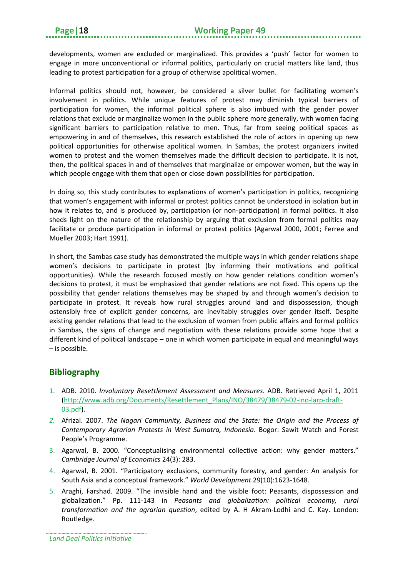developments, women are excluded or marginalized. This provides a 'push' factor for women to engage in more unconventional or informal politics, particularly on crucial matters like land, thus leading to protest participation for a group of otherwise apolitical women.

Informal politics should not, however, be considered a silver bullet for facilitating women's involvement in politics. While unique features of protest may diminish typical barriers of participation for women, the informal political sphere is also imbued with the gender power relations that exclude or marginalize women in the public sphere more generally, with women facing significant barriers to participation relative to men. Thus, far from seeing political spaces as empowering in and of themselves, this research established the role of actors in opening up new political opportunities for otherwise apolitical women. In Sambas, the protest organizers invited women to protest and the women themselves made the difficult decision to participate. It is not, then, the political spaces in and of themselves that marginalize or empower women, but the way in which people engage with them that open or close down possibilities for participation.

In doing so, this study contributes to explanations of women's participation in politics, recognizing that women's engagement with informal or protest politics cannot be understood in isolation but in how it relates to, and is produced by, participation (or non-participation) in formal politics. It also sheds light on the nature of the relationship by arguing that exclusion from formal politics may facilitate or produce participation in informal or protest politics (Agarwal 2000, 2001; Ferree and Mueller 2003; Hart 1991).

In short, the Sambas case study has demonstrated the multiple ways in which gender relations shape women's decisions to participate in protest (by informing their motivations and political opportunities). While the research focused mostly on how gender relations condition women's decisions to protest, it must be emphasized that gender relations are not fixed. This opens up the possibility that gender relations themselves may be shaped by and through women's decision to participate in protest. It reveals how rural struggles around land and dispossession, though ostensibly free of explicit gender concerns, are inevitably struggles over gender itself. Despite existing gender relations that lead to the exclusion of women from public affairs and formal politics in Sambas, the signs of change and negotiation with these relations provide some hope that a different kind of political landscape – one in which women participate in equal and meaningful ways – is possible.

#### <span id="page-21-0"></span>**Bibliography**

- 1. ADB. 2010. *Involuntary Resettlement Assessment and Measures*. ADB. Retrieved April 1, 2011 [\(http://www.adb.org/Documents/Resettlement\\_Plans/INO/3](http://www.adb.org/Documents/Resettlement_Plans/INO/)8479/38479-02-ino-larp-draft-03.pdf).
- *2.* Afrizal. 2007. *The Nagari Community, Business and the State: the Origin and the Process of Contemporary Agrarian Protests in West Sumatra, Indonesia*. Bogor: Sawit Watch and Forest People's Programme.
- 3. Agarwal, B. 2000. "Conceptualising environmental collective action: why gender matters." *Cambridge Journal of Economics* 24(3): 283.
- 4. Agarwal, B. 2001. "Participatory exclusions, community forestry, and gender: An analysis for South Asia and a conceptual framework." *World Development* 29(10):1623-1648.
- 5. Araghi, Farshad. 2009. "The invisible hand and the visible foot: Peasants, dispossession and globalization." Pp. 111-143 in *Peasants and globalization: political economy, rural transformation and the agrarian question*, edited by A. H Akram-Lodhi and C. Kay. London: Routledge.

*Land Deal Politics Initiative*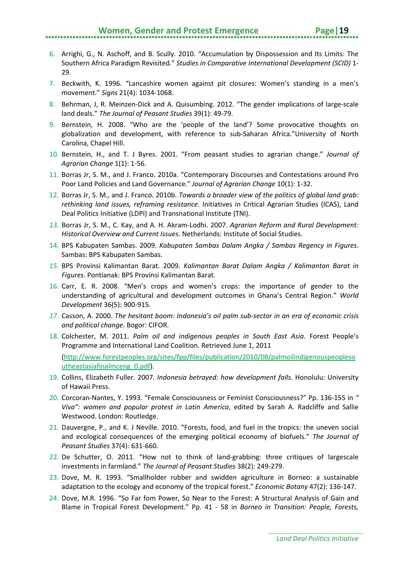#### **Women, Gender and Protest Emergence Page | 19**

- 
- 6. Arrighi, G., N. Aschoff, and B. Scully. 2010. "Accumulation by Dispossession and Its Limits: The Southern Africa Paradigm Revisited." *Studies in Comparative International Development (SCID)* 1- 29.
- 7. Beckwith, K. 1996. "Lancashire women against pit closures: Women's standing in a men's movement." *Signs* 21(4): 1034-1068.
- 8. Behrman, J, R. Meinzen-Dick and A. Quisumbing. 2012. "The gender implications of large-scale land deals." *The Journal of Peasant Studies* 39(1): 49-79.
- 9. Bernstein, H. 2008. "Who are the ʻpeople of the land'? Some provocative thoughts on globalization and development, with reference to sub-Saharan Africa."University of North Carolina, Chapel Hill.
- 10. Bernstein, H., and T. J Byres. 2001. "From peasant studies to agrarian change." *Journal of Agrarian Change* 1(1): 1-56.
- 11. Borras Jr, S. M., and J. Franco. 2010a. "Contemporary Discourses and Contestations around Pro Poor Land Policies and Land Governance." *Journal of Agrarian Change* 10(1): 1-32.
- 12. Borras Jr, S. M., and J. Franco. 2010b. *Towards a broader view of the politics of global land grab: rethinking land issues, reframing resistance*. Initiatives in Critical Agrarian Studies (ICAS), Land Deal Politics Initiative (LDPI) and Transnational Institute (TNI).
- *13.* Borras Jr, S. M., C. Kay, and A. H. Akram-Lodhi. 2007. *Agrarian Reform and Rural Development: Historical Overview and Current Issues*. Netherlands: Institute of Social Studies.
- 14. BPS Kabupaten Sambas. 2009. *Kabupaten Sambas Dalam Angka / Sambas Regency in Figures*. Sambas: BPS Kabupaten Sambas.
- *15.* BPS Provinsi Kalimantan Barat. 2009. *Kalimantan Barat Dalam Angka / Kalimantan Barat in Figures*. Pontianak: BPS Provinsi Kalimantan Barat.
- 16. Carr, E. R. 2008. "Men's crops and women's crops: the importance of gender to the understanding of agricultural and development outcomes in Ghana's Central Region." *World Development* 36(5): 900-915.
- *17.* Casson, A. 2000. *The hesitant boom: Indonesia's oil palm sub-sector in an era of economic crisis and political change*. Bogor: CIFOR.
- 18. Colchester, M. 2011. *Palm oil and indigenous peoples in South East Asia*. Forest People's Programme and International Land Coalition. Retrieved June 1, 2011 [\(http://www.forestpeoples.org/sites/fpp/files/publication/2010/08/palmoilindigenouspeopleso](http://www.forestpeoples.org/sites/fpp/files/publication/2010/08/palmoilindigenouspeoplesoutheastasiafinalmceng_0.pdf) [utheastasiafinalmceng\\_0.pdf\)](http://www.forestpeoples.org/sites/fpp/files/publication/2010/08/palmoilindigenouspeoplesoutheastasiafinalmceng_0.pdf).
- 19. Collins, Elizabeth Fuller. 2007. *Indonesia betrayed: how development fails*. Honolulu: University of Hawaii Press.
- 20. Corcoran-Nantes, Y. 1993. "Female Consciousness or Feminist Consciousness?" Pp. 136-155 in *" Viva": women and popular protest in Latin America*, edited by Sarah A. Radcliffe and Sallie Westwood. London: Routledge.
- 21. Dauvergne, P., and K. J Neville. 2010. "Forests, food, and fuel in the tropics: the uneven social and ecological consequences of the emerging political economy of biofuels." *The Journal of Peasant Studies* 37(4): 631-660.
- 22. De Schutter, O. 2011. "How not to think of land-grabbing: three critiques of largescale investments in farmland." *The Journal of Peasant Studies* 38(2): 249-279.
- 23. Dove, M. R. 1993. "Smallholder rubber and swidden agriculture in Borneo: a sustainable adaptation to the ecology and economy of the tropical forest." *Economic Botany* 47(2): 136-147.
- 24. Dove, M.R. 1996. "So Far fom Power, So Near to the Forest: A Structural Analysis of Gain and Blame in Tropical Forest Development." Pp. 41 - 58 in *Borneo in Transition: People, Forests,*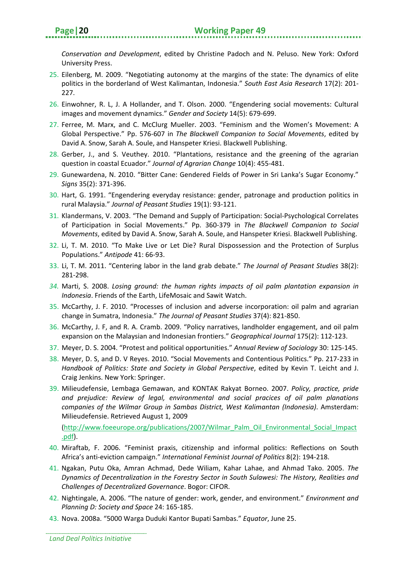*Conservation and Development*, edited by Christine Padoch and N. Peluso. New York: Oxford University Press.

- 25. Eilenberg, M. 2009. "Negotiating autonomy at the margins of the state: The dynamics of elite politics in the borderland of West Kalimantan, Indonesia." *South East Asia Research* 17(2): 201- 227.
- 26. Einwohner, R. L, J. A Hollander, and T. Olson. 2000. "Engendering social movements: Cultural images and movement dynamics." *Gender and Society* 14(5): 679-699.
- 27. Ferree, M. Marx, and C. McClurg Mueller. 2003. "Feminism and the Women's Movement: A Global Perspective." Pp. 576-607 in *The Blackwell Companion to Social Movements*, edited by David A. Snow, Sarah A. Soule, and Hanspeter Kriesi. Blackwell Publishing.
- 28. Gerber, J., and S. Veuthey. 2010. "Plantations, resistance and the greening of the agrarian question in coastal Ecuador." *Journal of Agrarian Change* 10(4): 455-481.
- 29. Gunewardena, N. 2010. "Bitter Cane: Gendered Fields of Power in Sri Lanka's Sugar Economy." *Signs* 35(2): 371-396.
- 30. Hart, G. 1991. "Engendering everyday resistance: gender, patronage and production politics in rural Malaysia." *Journal of Peasant Studies* 19(1): 93-121.
- 31. Klandermans, V. 2003. "The Demand and Supply of Participation: Social-Psychological Correlates of Participation in Social Movements." Pp. 360-379 in *The Blackwell Companion to Social Movements*, edited by David A. Snow, Sarah A. Soule, and Hanspeter Kriesi. Blackwell Publishing.
- 32. Li, T. M. 2010. "To Make Live or Let Die? Rural Dispossession and the Protection of Surplus Populations." *Antipode* 41: 66-93.
- 33. Li, T. M. 2011. "Centering labor in the land grab debate." *The Journal of Peasant Studies* 38(2): 281-298.
- *34.* Marti, S. 2008. *Losing ground: the human rights impacts of oil palm plantation expansion in Indonesia*. Friends of the Earth, LifeMosaic and Sawit Watch.
- 35. McCarthy, J. F. 2010. "Processes of inclusion and adverse incorporation: oil palm and agrarian change in Sumatra, Indonesia." *The Journal of Peasant Studies* 37(4): 821-850.
- 36. McCarthy, J. F, and R. A. Cramb. 2009. "Policy narratives, landholder engagement, and oil palm expansion on the Malaysian and Indonesian frontiers." *Geographical Journal* 175(2): 112-123.
- 37. Meyer, D. S. 2004. "Protest and political opportunities." *Annual Review of Sociology* 30: 125-145.
- 38. Meyer, D. S, and D. V Reyes. 2010. "Social Movements and Contentious Politics." Pp. 217-233 in *Handbook of Politics: State and Society in Global Perspective*, edited by Kevin T. Leicht and J. Craig Jenkins. New York: Springer.
- 39. Milieudefensie, Lembaga Gemawan, and KONTAK Rakyat Borneo. 2007. *Policy, practice, pride and prejudice: Review of legal, environmental and social pracices of oil palm planations companies of the Wilmar Group in Sambas District, West Kalimantan (Indonesia)*. Amsterdam: Milieudefensie. Retrieved August 1, 2009

[\(http://www.foeeurope.org/publications/2007/Wilmar\\_Palm\\_Oil\\_Environmental\\_Social\\_Impact](http://www.foeeurope.org/publications/2007/Wilmar_Palm_Oil_Environmental_Social_Impact.pdf) [.pdf\)](http://www.foeeurope.org/publications/2007/Wilmar_Palm_Oil_Environmental_Social_Impact.pdf).

- 40. Miraftab, F. 2006. "Feminist praxis, citizenship and informal politics: Reflections on South Africa's anti-eviction campaign." *International Feminist Journal of Politics* 8(2): 194-218.
- 41. Ngakan, Putu Oka, Amran Achmad, Dede Wiliam, Kahar Lahae, and Ahmad Tako. 2005. *The Dynamics of Decentralization in the Forestry Sector in South Sulawesi: The History, Realities and Challenges of Decentralized Governance*. Bogor: CIFOR.
- 42. Nightingale, A. 2006. "The nature of gender: work, gender, and environment." *Environment and Planning D: Society and Space* 24: 165-185.
- 43. Nova. 2008a. "5000 Warga Duduki Kantor Bupati Sambas." *Equator*, June 25.

*Land Deal Politics Initiative*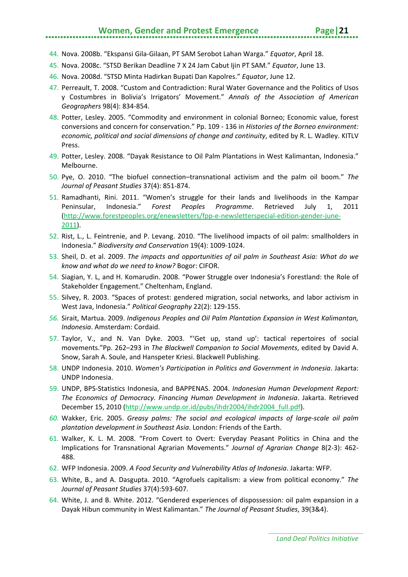#### **Women, Gender and Protest Emergence Page | 21**

- 44. Nova. 2008b. "Ekspansi Gila-Gilaan, PT SAM Serobot Lahan Warga." *Equator*, April 18.
- 45. Nova. 2008c. "STSD Berikan Deadline 7 X 24 Jam Cabut Ijin PT SAM." *Equator*, June 13.
- 46. Nova. 2008d. "STSD Minta Hadirkan Bupati Dan Kapolres." *Equator*, June 12.
- 47. Perreault, T. 2008. "Custom and Contradiction: Rural Water Governance and the Politics of Usos y Costumbres in Bolivia's Irrigators' Movement." *Annals of the Association of American Geographers* 98(4): 834-854.
- 48. Potter, Lesley. 2005. "Commodity and environment in colonial Borneo; Economic value, forest conversions and concern for conservation." Pp. 109 - 136 in *Histories of the Borneo environment: economic, political and social dimensions of change and continuity*, edited by R. L. Wadley. KITLV Press.
- 49. Potter, Lesley. 2008. "Dayak Resistance to Oil Palm Plantations in West Kalimantan, Indonesia." Melbourne.
- 50. Pye, O. 2010. "The biofuel connection–transnational activism and the palm oil boom." *The Journal of Peasant Studies* 37(4): 851-874.
- 51. Ramadhanti, Rini. 2011. "Women's struggle for their lands and livelihoods in the Kampar Peninsular, Indonesia." *Forest Peoples Programme*. Retrieved July 1, 2011 [\(http://www.forestpeoples.org/enewsletters/fpp-e-newsletterspecial-edition-gender-june-](http://www.forestpeoples.org/enewsletters/fpp-e-newsletterspecial-edition-gender-june-2011)[2011\)](http://www.forestpeoples.org/enewsletters/fpp-e-newsletterspecial-edition-gender-june-2011).
- 52. Rist, L., L. Feintrenie, and P. Levang. 2010. "The livelihood impacts of oil palm: smallholders in Indonesia." *Biodiversity and Conservation* 19(4): 1009-1024.
- 53. Sheil, D. et al. 2009. *The impacts and opportunities of oil palm in Southeast Asia: What do we know and what do we need to know?* Bogor: CIFOR.
- 54. Siagian, Y. L, and H. Komarudin. 2008. "Power Struggle over Indonesia's Forestland: the Role of Stakeholder Engagement." Cheltenham, England.
- 55. Silvey, R. 2003. "Spaces of protest: gendered migration, social networks, and labor activism in West Java, Indonesia." *Political Geography* 22(2): 129-155.
- *56.* Sirait, Martua. 2009. *Indigenous Peoples and Oil Palm Plantation Expansion in West Kalimantan, Indonesia*. Amsterdam: Cordaid.
- 57. Taylor, V., and N. Van Dyke. 2003. "ʻGet up, stand up': tactical repertoires of social movements."Pp. 262–293 in *The Blackwell Companion to Social Movements*, edited by David A. Snow, Sarah A. Soule, and Hanspeter Kriesi. Blackwell Publishing.
- 58. UNDP Indonesia. 2010. *Women's Participation in Politics and Government in Indonesia*. Jakarta: UNDP Indonesia.
- 59. UNDP, BPS-Statistics Indonesia, and BAPPENAS. 2004. *Indonesian Human Development Report: The Economics of Democracy. Financing Human Development in Indonesia*. Jakarta. Retrieved December 15, 2010 [\(http://www.undp.or.id/pubs/ihdr2004/ihdr2004\\_full.pdf\)](http://www.undp.or.id/pubs/ihdr2004/ihdr2004_full.pdf).
- *60.* Wakker, Eric. 2005. *Greasy palms: The social and ecological impacts of large-scale oil palm plantation development in Southeast Asia*. London: Friends of the Earth.
- 61. Walker, K. L. M. 2008. "From Covert to Overt: Everyday Peasant Politics in China and the Implications for Transnational Agrarian Movements." *Journal of Agrarian Change* 8(2-3): 462- 488.
- 62. WFP Indonesia. 2009. *A Food Security and Vulnerability Atlas of Indonesia*. Jakarta: WFP.
- 63. White, B., and A. Dasgupta. 2010. "Agrofuels capitalism: a view from political economy." *The Journal of Peasant Studies* 37(4):593-607.
- 64. White, J. and B. White. 2012. "Gendered experiences of dispossession: oil palm expansion in a Dayak Hibun community in West Kalimantan." *The Journal of Peasant Studies*, 39(3&4).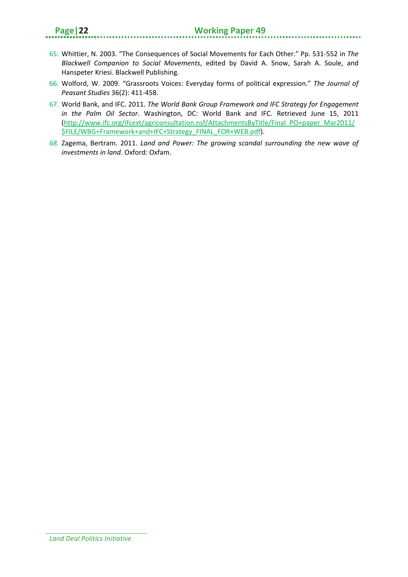- 65. Whittier, N. 2003. "The Consequences of Social Movements for Each Other." Pp. 531-552 in *The Blackwell Companion to Social Movements*, edited by David A. Snow, Sarah A. Soule, and Hanspeter Kriesi. Blackwell Publishing.
- 66. Wolford, W. 2009. "Grassroots Voices: Everyday forms of political expression." *The Journal of Peasant Studies* 36(2): 411-458.
- 67. World Bank, and IFC. 2011. *The World Bank Group Framework and IFC Strategy for Engagement in the Palm Oil Sector*. Washington, DC: World Bank and IFC. Retrieved June 15, 2011 [\(http://www.ifc.org/ifcext/agriconsultation.nsf/AttachmentsByTitle/Final\\_PO+paper\\_Mar2011/](http://www.ifc.org/ifcext/agriconsultation.nsf/AttachmentsByTitle/Final_PO+paper_Mar2011/$FILE/WBG+Framework+and+IFC+Strategy_FINAL_FOR+WEB.pdf) [\\$FILE/WBG+Framework+and+IFC+Strategy\\_FINAL\\_FOR+WEB.pdf\)](http://www.ifc.org/ifcext/agriconsultation.nsf/AttachmentsByTitle/Final_PO+paper_Mar2011/$FILE/WBG+Framework+and+IFC+Strategy_FINAL_FOR+WEB.pdf).
- *68.* Zagema, Bertram. 2011. *Land and Power: The growing scandal surrounding the new wave of investments in land*. Oxford: Oxfam.

*Land Deal Politics Initiative*